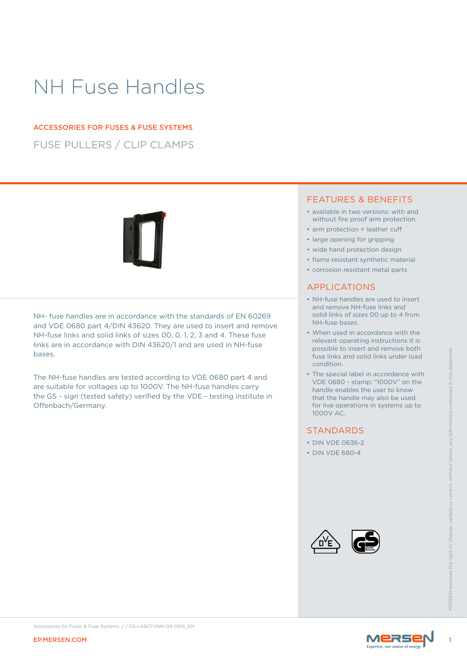# NH Fuse Handles

# FUSE PULLERS / CLIP CLAMPS ACCESSORIES FOR FUSES & FUSE SYSTEMS

NH- fuse handles are in accordance with the standards of EN 60269 and VDE 0680 part 4/DIN 43620. They are used to insert and remove NH-fuse links and solid links of sizes 00, 0, 1, 2, 3 and 4. These fuse links are in accordance with DIN 43620/1 and are used in NH-fuse bases.

EP.MERSEN.COM<br>
ARTIFICENT PROPERTY INTERNATION CONTROL CONTROL CONTROL CONTROL CONTROL CONTROL CONTROL CONTROL CONTROL CONTROL CONTROL CONTROL CONTROL CONTROL CONTROL CONTROL CONTROL CONTROL CONTROL CONTROL CONTROL CONTROL The NH-fuse handles are tested according to VDE 0680 part 4 and are suitable for voltages up to 1000V. The NH-fuse handles carry the GS - sign (tested safety) verified by the VDE - testing institute in Offenbach/Germany.

## FEATURES & BENEFITS

- available in two versions: with and without fire proof arm protection
- arm protection = leather cuff
- large opening for gripping
- wide hand protection design
- flame resistant synthetic material
- corrosion resistant metal parts

## APPLICATIONS

- NH-fuse handles are used to insert and remove NH-fuse links and solid links of sizes 00 up to 4 from NH-fuse bases.
- When used in accordance with the relevant operating instructions it is possible to insert and remove both fuse links and solid links under load condition.
- The special label in accordance with VDE 0680 - stamp: "1000V" on the handle enables the user to know that the handle may also be used for live operations in systems up to 1000V AC.

## **STANDARDS**

- DIN VDE 0636-2
- DIN VDE 680-4